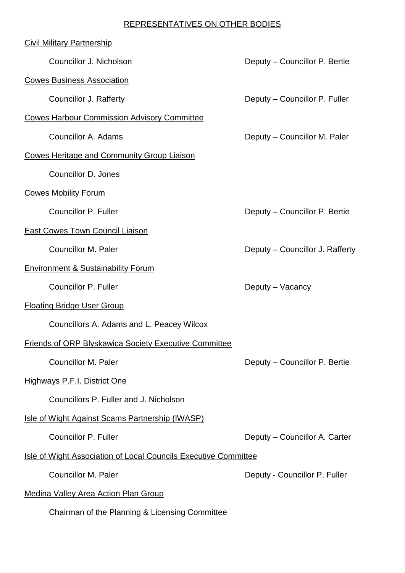## REPRESENTATIVES ON OTHER BODIES

| <b>Civil Military Partnership</b>                               |                                 |
|-----------------------------------------------------------------|---------------------------------|
| Councillor J. Nicholson                                         | Deputy - Councillor P. Bertie   |
| <b>Cowes Business Association</b>                               |                                 |
| <b>Councillor J. Rafferty</b>                                   | Deputy – Councillor P. Fuller   |
| <b>Cowes Harbour Commission Advisory Committee</b>              |                                 |
| <b>Councillor A. Adams</b>                                      | Deputy – Councillor M. Paler    |
| <b>Cowes Heritage and Community Group Liaison</b>               |                                 |
| Councillor D. Jones                                             |                                 |
| <b>Cowes Mobility Forum</b>                                     |                                 |
| <b>Councillor P. Fuller</b>                                     | Deputy - Councillor P. Bertie   |
| East Cowes Town Council Liaison                                 |                                 |
| <b>Councillor M. Paler</b>                                      | Deputy - Councillor J. Rafferty |
| <b>Environment &amp; Sustainability Forum</b>                   |                                 |
| <b>Councillor P. Fuller</b>                                     | Deputy – Vacancy                |
| <b>Floating Bridge User Group</b>                               |                                 |
| Councillors A. Adams and L. Peacey Wilcox                       |                                 |
| Friends of ORP Blyskawica Society Executive Committee           |                                 |
| <b>Councillor M. Paler</b>                                      | Deputy - Councillor P. Bertie   |
| <b>Highways P.F.I. District One</b>                             |                                 |
| Councillors P. Fuller and J. Nicholson                          |                                 |
| Isle of Wight Against Scams Partnership (IWASP)                 |                                 |
| <b>Councillor P. Fuller</b>                                     | Deputy - Councillor A. Carter   |
| Isle of Wight Association of Local Councils Executive Committee |                                 |
| <b>Councillor M. Paler</b>                                      | Deputy - Councillor P. Fuller   |
| <b>Medina Valley Area Action Plan Group</b>                     |                                 |
| Chairman of the Planning & Licensing Committee                  |                                 |